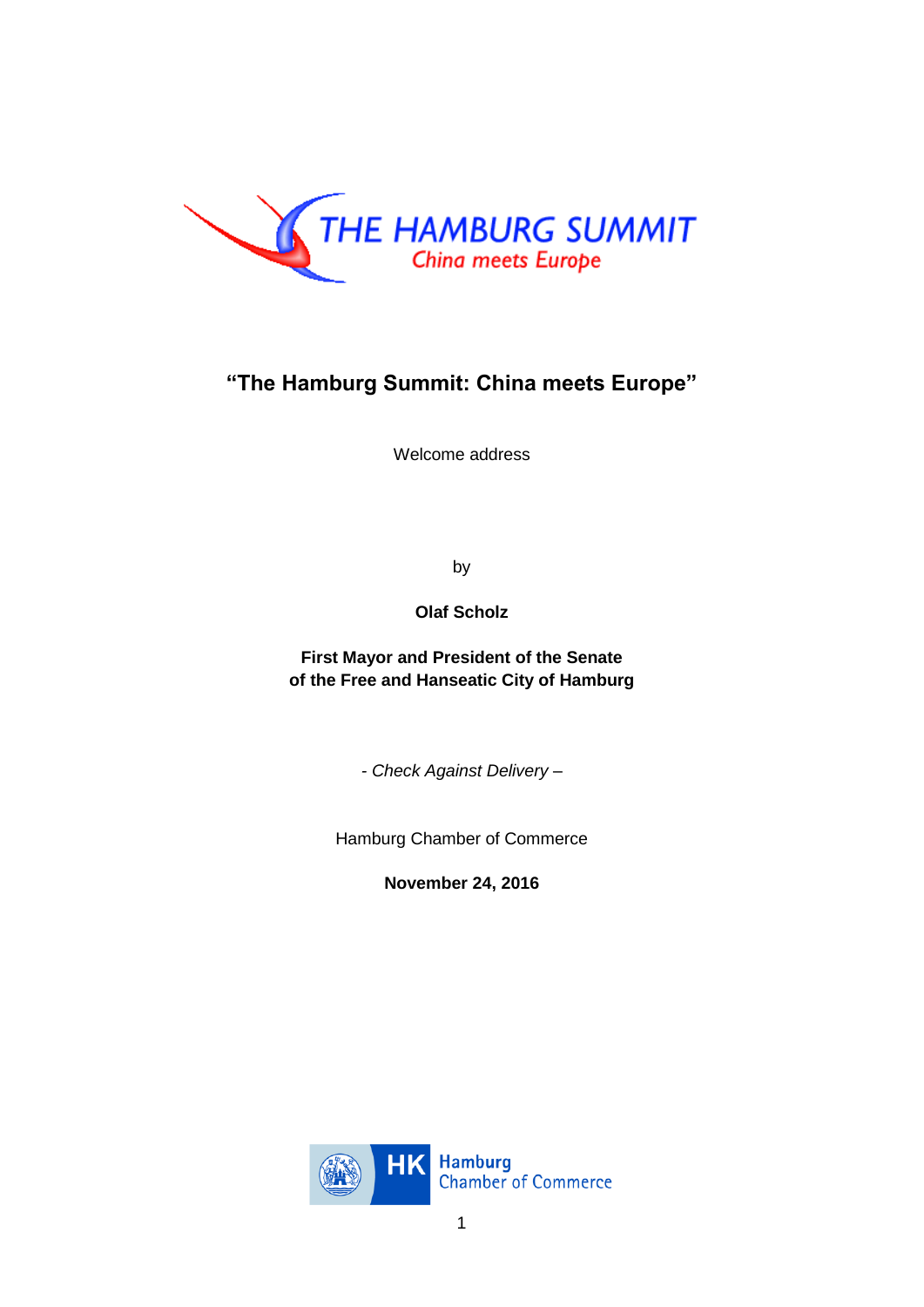

## **"The Hamburg Summit: China meets Europe"**

Welcome address

by

**Olaf Scholz**

**First Mayor and President of the Senate of the Free and Hanseatic City of Hamburg**

*- Check Against Delivery –*

Hamburg Chamber of Commerce

**November 24, 2016**

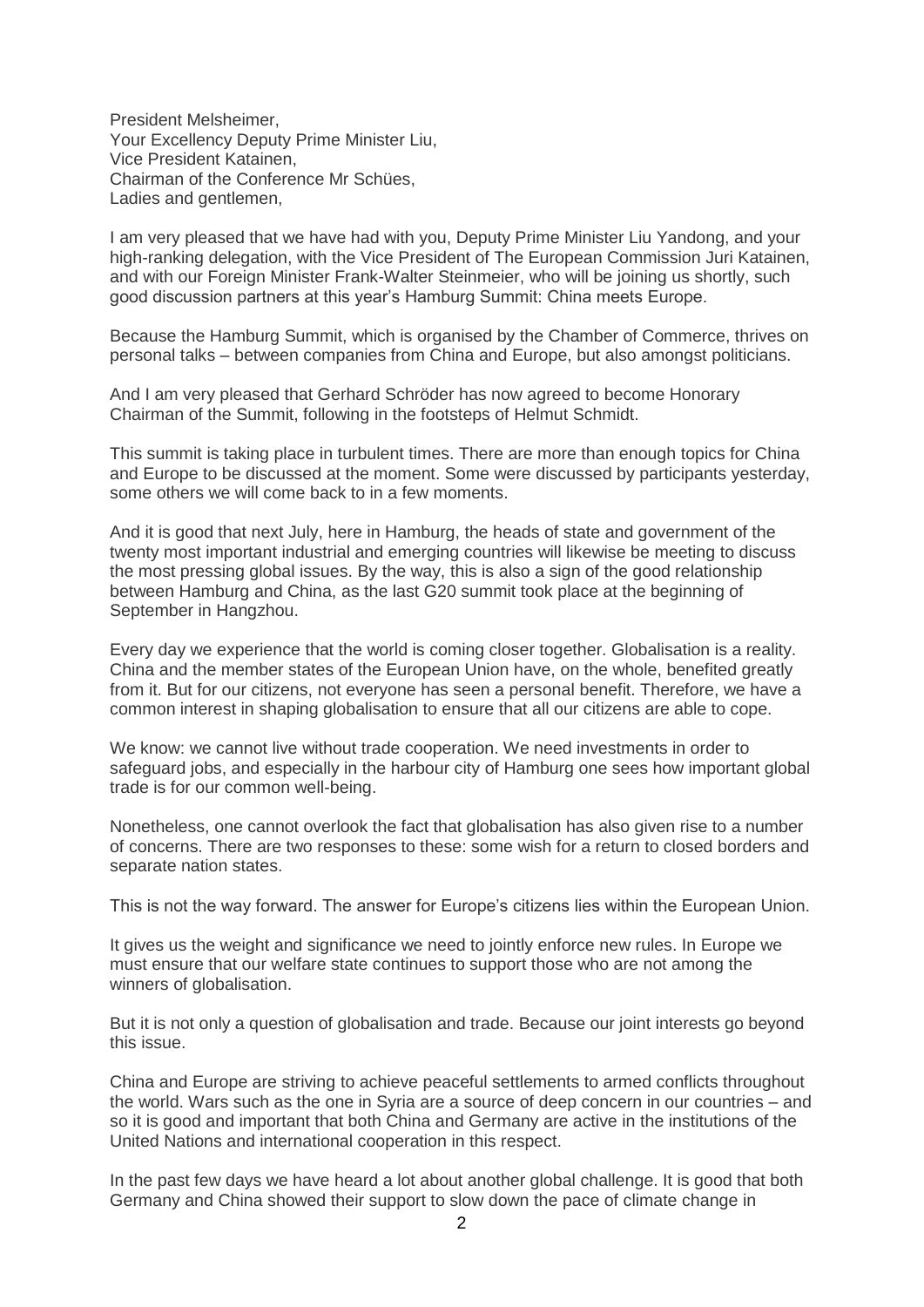President Melsheimer, Your Excellency Deputy Prime Minister Liu, Vice President Katainen, Chairman of the Conference Mr Schües, Ladies and gentlemen,

I am very pleased that we have had with you, Deputy Prime Minister Liu Yandong, and your high-ranking delegation, with the Vice President of The European Commission Juri Katainen, and with our Foreign Minister Frank-Walter Steinmeier, who will be joining us shortly, such good discussion partners at this year's Hamburg Summit: China meets Europe.

Because the Hamburg Summit, which is organised by the Chamber of Commerce, thrives on personal talks – between companies from China and Europe, but also amongst politicians.

And I am very pleased that Gerhard Schröder has now agreed to become Honorary Chairman of the Summit, following in the footsteps of Helmut Schmidt.

This summit is taking place in turbulent times. There are more than enough topics for China and Europe to be discussed at the moment. Some were discussed by participants yesterday, some others we will come back to in a few moments.

And it is good that next July, here in Hamburg, the heads of state and government of the twenty most important industrial and emerging countries will likewise be meeting to discuss the most pressing global issues. By the way, this is also a sign of the good relationship between Hamburg and China, as the last G20 summit took place at the beginning of September in Hangzhou.

Every day we experience that the world is coming closer together. Globalisation is a reality. China and the member states of the European Union have, on the whole, benefited greatly from it. But for our citizens, not everyone has seen a personal benefit. Therefore, we have a common interest in shaping globalisation to ensure that all our citizens are able to cope.

We know: we cannot live without trade cooperation. We need investments in order to safeguard jobs, and especially in the harbour city of Hamburg one sees how important global trade is for our common well-being.

Nonetheless, one cannot overlook the fact that globalisation has also given rise to a number of concerns. There are two responses to these: some wish for a return to closed borders and separate nation states.

This is not the way forward. The answer for Europe's citizens lies within the European Union.

It gives us the weight and significance we need to jointly enforce new rules. In Europe we must ensure that our welfare state continues to support those who are not among the winners of globalisation.

But it is not only a question of globalisation and trade. Because our joint interests go beyond this issue.

China and Europe are striving to achieve peaceful settlements to armed conflicts throughout the world. Wars such as the one in Syria are a source of deep concern in our countries – and so it is good and important that both China and Germany are active in the institutions of the United Nations and international cooperation in this respect.

In the past few days we have heard a lot about another global challenge. It is good that both Germany and China showed their support to slow down the pace of climate change in